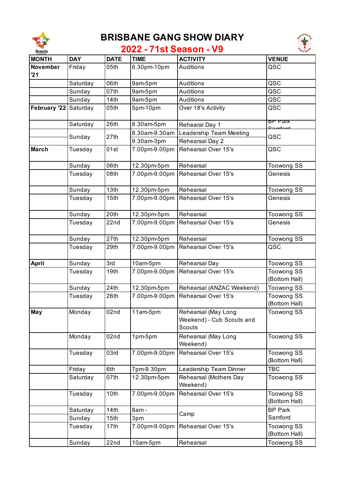

## **BRISBANE GANG SHOW DIARY**



## **2022 - 71st Season - V9**

| <b>MONTH</b>   | <b>DAY</b> | <b>DATE</b>      | <b>TIME</b>   | <b>ACTIVITY</b>                                                   | <b>VENUE</b>                       |
|----------------|------------|------------------|---------------|-------------------------------------------------------------------|------------------------------------|
| November<br>21 | Friday     | 05th             | 6.30pm-10pm   | Auditions                                                         | QSC                                |
|                | Saturday   | 06th             | 9am-5pm       | Auditions                                                         | QSC                                |
|                | Sunday     | 07th             | 9am-5pm       | <b>Auditions</b>                                                  | QSC                                |
|                | Sunday     | 14th             | 9am-5pm       | Auditions                                                         | QSC                                |
| February '22   | Saturday   | 05th             | 5pm-10pm      | Over 18's Activity                                                | QSC                                |
|                | Saturday   | 26th             | 8.30am-5pm    | Rehearal Day 1                                                    | BP Park<br><b>Comforo</b>          |
|                | Sunday     | 27th             | 8.30am-9.30am | Leadership Team Meeting                                           | QSC                                |
|                |            |                  | 9.30am-3pm    | Rehearsal Day 2                                                   |                                    |
| <b>March</b>   | Tuesday    | 01st             | 7.00pm-9.00pm | Rehearsal Over 15's                                               | QSC                                |
|                | Sunday     | 06th             | 12.30pm-5pm   | Rehearsal                                                         | <b>Toowong SS</b>                  |
|                | Tuesday    | 08th             | 7.00pm-9.00pm | Rehearsal Over 15's                                               | Genesis                            |
|                | Sunday     | 13th             | 12.30pm-5pm   | Rehearsal                                                         | <b>Toowong SS</b>                  |
|                | Tuesday    | 15th             | 7.00pm-9.00pm | Rehearsal Over 15's                                               | Genesis                            |
|                | Sunday     | 20th             | 12.30pm-5pm   | Rehearsal                                                         | <b>Toowong SS</b>                  |
|                | Tuesday    | 22nd             | 7.00pm-9.00pm | Rehearsal Over 15's                                               | Genesis                            |
|                | Sunday     | 27th             | 12.30pm-5pm   | Rehearsal                                                         | <b>Toowong SS</b>                  |
|                | Tuesday    | 29th             | 7.00pm-9.00pm | Rehearsal Over 15's                                               | QSC                                |
| <b>April</b>   | Sunday     | 3rd              | 10am-5pm      | Rehearsal Day                                                     | <b>Toowong SS</b>                  |
|                | Tuesday    | 19th             | 7.00pm-9.00pm | Rehearsal Over 15's                                               | <b>Toowong SS</b><br>(Bottom Hall) |
|                | Sunday     | 24th             | 12.30pm-5pm   | Rehearsal (ANZAC Weekend)                                         | <b>Toowong SS</b>                  |
|                | Tuesday    | 26th             | 7.00pm-9.00pm | Rehearsal Over 15's                                               | <b>Toowong SS</b><br>(Bottom Hall) |
| <b>May</b>     | Monday     | 02nd             | 11am-5pm      | Rehearsal (May Long<br>Weekend) - Cub Scouts and<br><b>Scouts</b> | Toowong SS                         |
|                | Monday     | 02nd             | 1pm-5pm       | Rehearsal (May Long<br>Weekend)                                   | <b>Toowong SS</b>                  |
|                | Tuesday    | 03rd             | 7.00pm-9.00pm | Rehearsal Over 15's                                               | <b>Toowong SS</b><br>(Bottom Hall) |
|                | Friday     | 6th              | 7pm-9.30pm    | Leadership Team Dinner                                            | <b>TBC</b>                         |
|                | Saturday   | 07th             | 12.30pm-5pm   | Rehearsal (Mothers Day<br>Weekend)                                | <b>Toowong SS</b>                  |
|                | Tuesday    | 10th             | 7.00pm-9.00pm | Rehearsal Over 15's                                               | Toowong SS<br>(Bottom Hall)        |
|                | Saturday   | 14th             | 8am-          |                                                                   | <b>BP Park</b>                     |
|                | Sunday     | 15th             | 3pm           | Camp                                                              | Samford                            |
|                | Tuesday    | 17th             | 7.00pm-9.00pm | Rehearsal Over 15's                                               | <b>Toowong SS</b><br>(Bottom Hall) |
|                | Sunday     | 22 <sub>nd</sub> | 10am-5pm      | Rehearsal                                                         | <b>Toowong SS</b>                  |